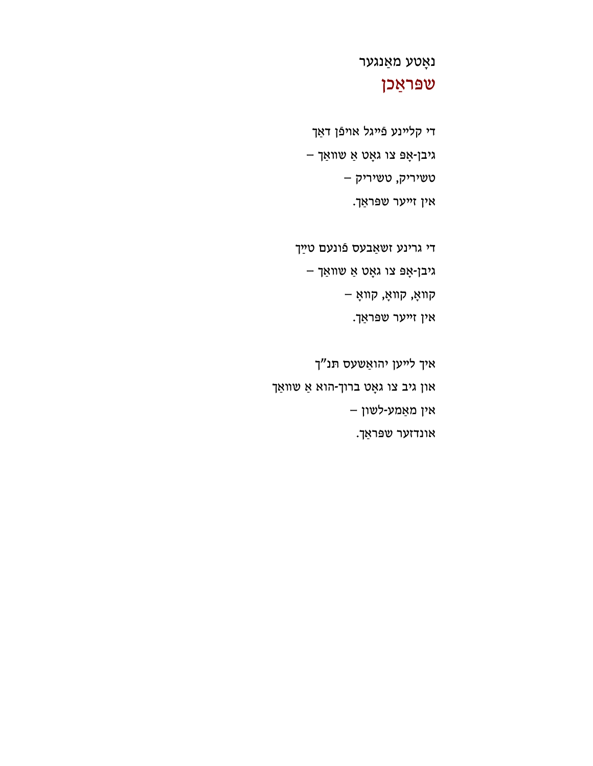איך לײען יהואַשעס תּנ"ך און גיב צו גאָט ברוך-הוא אַ שװאַך אין מאַמע -לשון – אונדזער שפּראַך.

גיבן -אָפּ צו גאָט אַ שװאַך – קװאָ, קװאָ, קװאָ – אין זײער שפּראַך.

די גרינע זשאַבעס פֿונעם טײַך

אין זײער שפּראַך.

טשיריק, טשיריק –

גיבן -אָפּ צו גאָט אַ שװאַך –

די קלײנע פֿײגל אױפֿן דאַך

## שפּראַכן

נאָטע מאַנגער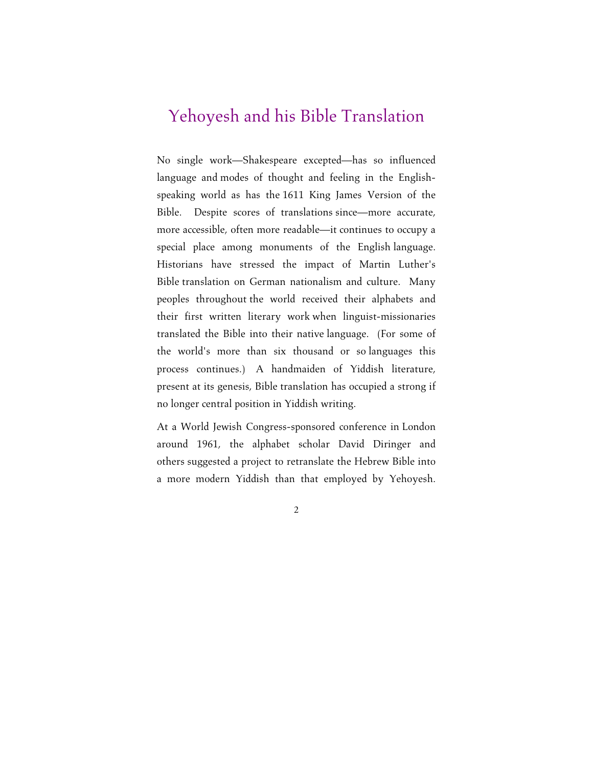## Yehoyesh and his Bible Translation

No single work—Shakespeare excepted—has so influenced language and modes of thought and feeling in the Englishspeaking world as has the 1611 King James Version of the Bible. Despite scores of translations since—more accurate, more accessible, often more readable—it continues to occupy a special place among monuments of the English language. Historians have stressed the impact of Martin Luther's Bible translation on German nationalism and culture. Many peoples throughout the world received their alphabets and their first written literary work when linguist-missionaries translated the Bible into their native language. (For some of the world's more than six thousand or so languages this process continues.) A handmaiden of Yiddish literature, present at its genesis, Bible translation has occupied a strong if no longer central position in Yiddish writing.

At a World Jewish Congress-sponsored conference in London around 1961, the alphabet scholar David Diringer and others suggested a project to retranslate the Hebrew Bible into a more modern Yiddish than that employed by Yehoyesh.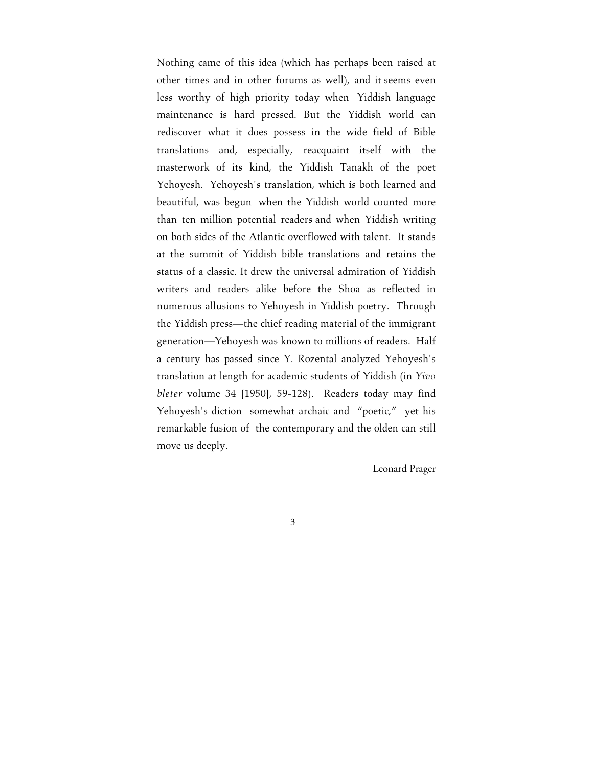Nothing came of this idea (which has perhaps been raised at other times and in other forums as well), and it seems even less worthy of high priority today when Yiddish language maintenance is hard pressed. But the Yiddish world can rediscover what it does possess in the wide field of Bible translations and, especially, reacquaint itself with the masterwork of its kind, the Yiddish Tanakh of the poet Yehoyesh. Yehoyesh's translation, which is both learned and beautiful, was begun when the Yiddish world counted more than ten million potential readers and when Yiddish writing on both sides of the Atlantic overflowed with talent. It stands at the summit of Yiddish bible translations and retains the status of a classic. It drew the universal admiration of Yiddish writers and readers alike before the Shoa as reflected in numerous allusions to Yehoyesh in Yiddish poetry. Through the Yiddish press—the chief reading material of the immigrant generation—Yehoyesh was known to millions of readers. Half a century has passed since Y. Rozental analyzed Yehoyesh's translation at length for academic students of Yiddish (in *Yivo bleter* volume 34 [1950], 59-128). Readers today may find Yehoyesh's diction somewhat archaic and "poetic," yet his remarkable fusion of the contemporary and the olden can still move us deeply.

Leonard Prager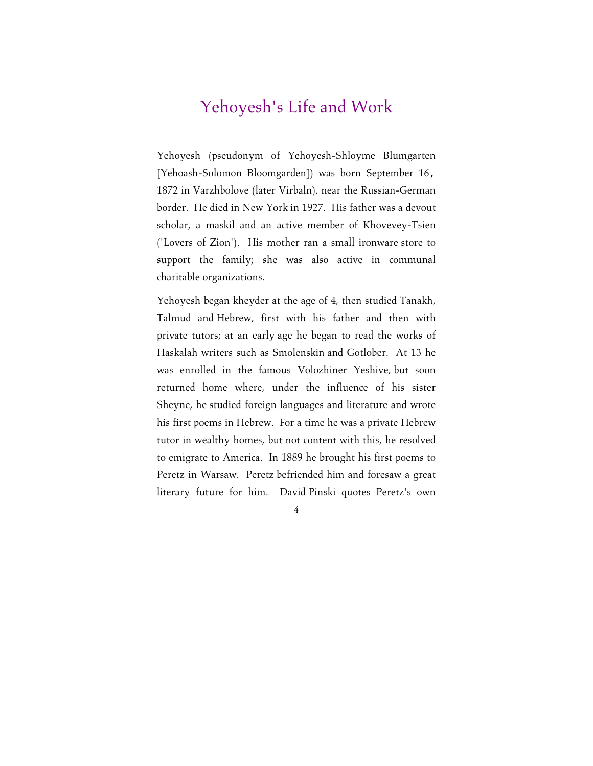## Yehoyesh's Life and Work

Yehoyesh (pseudonym of Yehoyesh-Shloyme Blumgarten [Yehoash-Solomon Bloomgarden]) was born September 16, 1872 in Varzhbolove (later Virbaln), near the Russian-German border. He died in New York in 1927. His father was a devout scholar, a maskil and an active member of Khovevey-Tsien ('Lovers of Zion'). His mother ran a small ironware store to support the family; she was also active in communal charitable organizations.

Yehoyesh began kheyder at the age of 4, then studied Tanakh, Talmud and Hebrew, first with his father and then with private tutors; at an early age he began to read the works of Haskalah writers such as Smolenskin and Gotlober. At 13 he was enrolled in the famous Volozhiner Yeshive, but soon returned home where, under the influence of his sister Sheyne, he studied foreign languages and literature and wrote his first poems in Hebrew. For a time he was a private Hebrew tutor in wealthy homes, but not content with this, he resolved to emigrate to America. In 1889 he brought his first poems to Peretz in Warsaw. Peretz befriended him and foresaw a great literary future for him. David Pinski quotes Peretz's own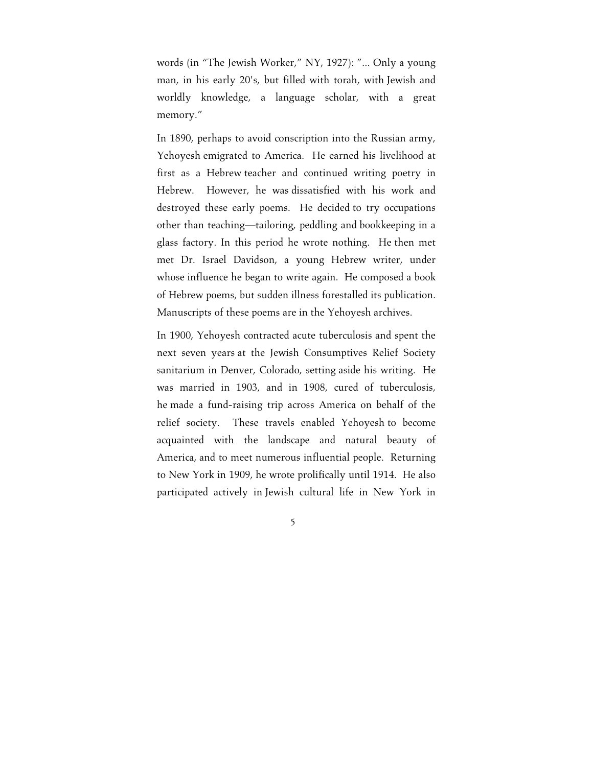words (in "The Jewish Worker," NY, 1927): "... Only a young man, in his early 20's, but filled with torah, with Jewish and worldly knowledge, a language scholar, with a great memory."

In 1890, perhaps to avoid conscription into the Russian army, Yehoyesh emigrated to America. He earned his livelihood at first as a Hebrew teacher and continued writing poetry in Hebrew. However, he was dissatisfied with his work and destroyed these early poems. He decided to try occupations other than teaching—tailoring, peddling and bookkeeping in a glass factory. In this period he wrote nothing. He then met met Dr. Israel Davidson, a young Hebrew writer, under whose influence he began to write again. He composed a book of Hebrew poems, but sudden illness forestalled its publication. Manuscripts of these poems are in the Yehoyesh archives.

In 1900, Yehoyesh contracted acute tuberculosis and spent the next seven years at the Jewish Consumptives Relief Society sanitarium in Denver, Colorado, setting aside his writing. He was married in 1903, and in 1908, cured of tuberculosis, he made a fund-raising trip across America on behalf of the relief society. These travels enabled Yehoyesh to become acquainted with the landscape and natural beauty of America, and to meet numerous influential people. Returning to New York in 1909, he wrote prolifically until 1914. He also participated actively in Jewish cultural life in New York in

5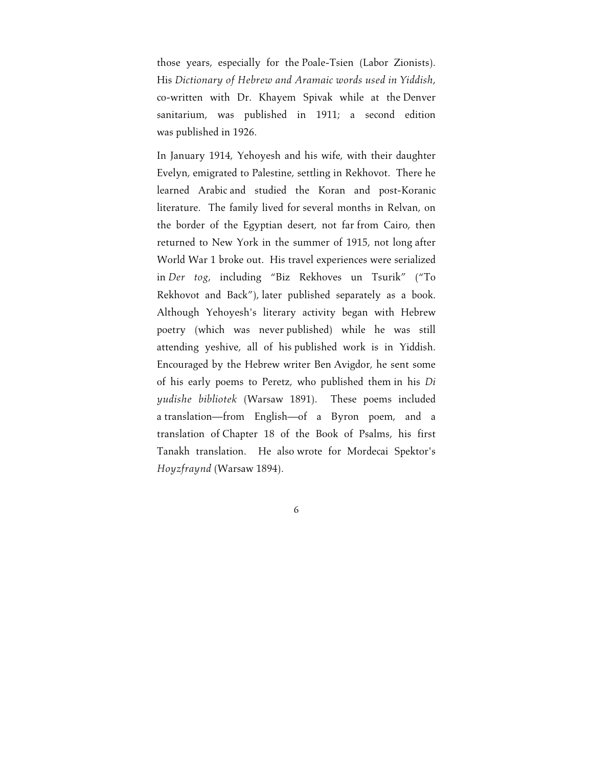those years, especially for the Poale-Tsien (Labor Zionists). His *Dictionary of Hebrew and Aramaic words used in Yiddish*, co-written with Dr. Khayem Spivak while at the Denver sanitarium, was published in 1911; a second edition was published in 1926.

In January 1914, Yehoyesh and his wife, with their daughter Evelyn, emigrated to Palestine, settling in Rekhovot. There he learned Arabic and studied the Koran and post-Koranic literature. The family lived for several months in Relvan, on the border of the Egyptian desert, not far from Cairo, then returned to New York in the summer of 1915, not long after World War 1 broke out. His travel experiences were serialized in *Der tog*, including "Biz Rekhoves un Tsurik" ("To Rekhovot and Back"), later published separately as a book. Although Yehoyesh's literary activity began with Hebrew poetry (which was never published) while he was still attending yeshive, all of his published work is in Yiddish. Encouraged by the Hebrew writer Ben Avigdor, he sent some of his early poems to Peretz, who published them in his *Di yudishe bibliotek* (Warsaw 1891). These poems included a translation—from English—of a Byron poem, and a translation of Chapter 18 of the Book of Psalms, his first Tanakh translation. He also wrote for Mordecai Spektor's *Hoyzfraynd* (Warsaw 1894).

6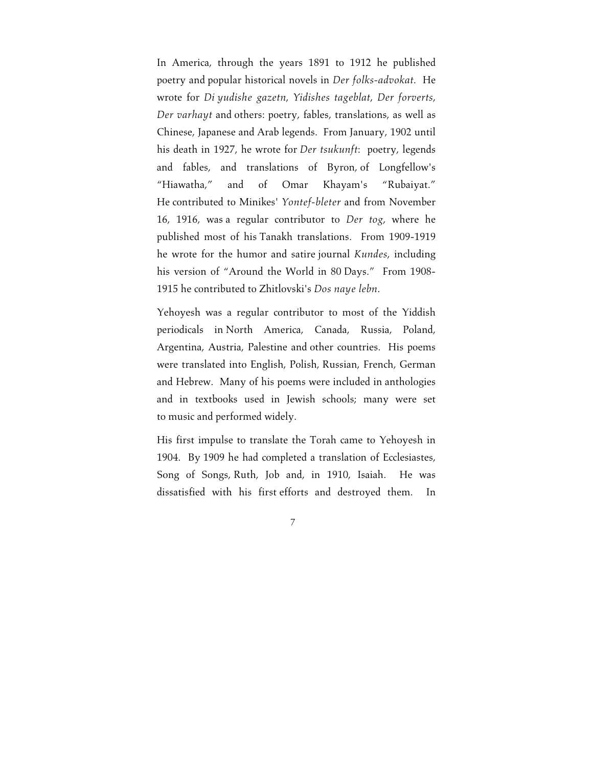In America, through the years 1891 to 1912 he published poetry and popular historical novels in *Der folks-advokat*. He wrote for *Di yudishe gazetn*, *Yidishes tageblat*, *Der forverts*, *Der varhayt* and others: poetry, fables, translations, as well as Chinese, Japanese and Arab legends. From January, 1902 until his death in 1927, he wrote for *Der tsukunft*: poetry, legends and fables, and translations of Byron, of Longfellow's "Hiawatha," and of Omar Khayam's "Rubaiyat." He contributed to Minikes' *Yontef-bleter* and from November 16, 1916, was a regular contributor to *Der tog*, where he published most of his Tanakh translations. From 1909-1919 he wrote for the humor and satire journal *Kundes*, including his version of "Around the World in 80 Days." From 1908- 1915 he contributed to Zhitlovski's *Dos naye lebn*.

Yehoyesh was a regular contributor to most of the Yiddish periodicals in North America, Canada, Russia, Poland, Argentina, Austria, Palestine and other countries. His poems were translated into English, Polish, Russian, French, German and Hebrew. Many of his poems were included in anthologies and in textbooks used in Jewish schools; many were set to music and performed widely.

His first impulse to translate the Torah came to Yehoyesh in 1904. By 1909 he had completed a translation of Ecclesiastes, Song of Songs, Ruth, Job and, in 1910, Isaiah. He was dissatisfied with his first efforts and destroyed them. In

7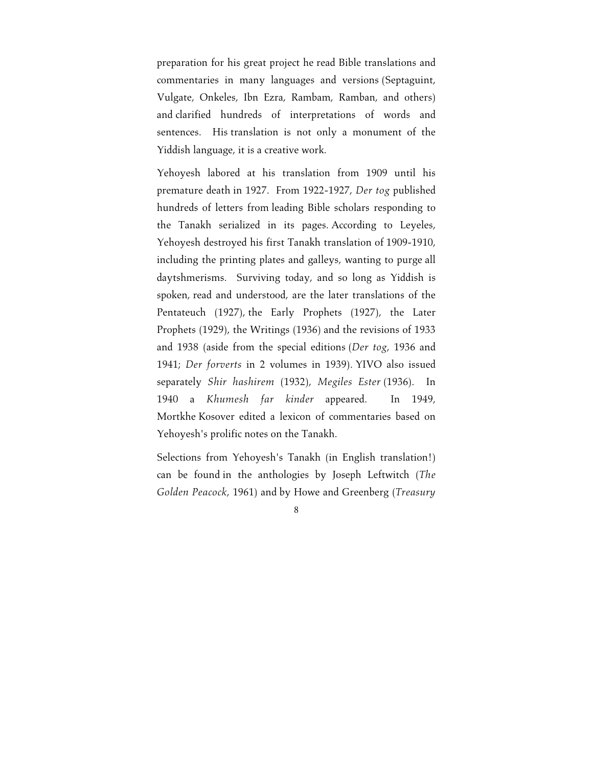preparation for his great project he read Bible translations and commentaries in many languages and versions (Septaguint, Vulgate, Onkeles, Ibn Ezra, Rambam, Ramban, and others) and clarified hundreds of interpretations of words and sentences. His translation is not only a monument of the Yiddish language, it is a creative work.

Yehoyesh labored at his translation from 1909 until his premature death in 1927. From 1922-1927, *Der tog* published hundreds of letters from leading Bible scholars responding to the Tanakh serialized in its pages. According to Leyeles, Yehoyesh destroyed his first Tanakh translation of 1909-1910, including the printing plates and galleys, wanting to purge all daytshmerisms. Surviving today, and so long as Yiddish is spoken, read and understood, are the later translations of the Pentateuch (1927), the Early Prophets (1927), the Later Prophets (1929), the Writings (1936) and the revisions of 1933 and 1938 (aside from the special editions (*Der tog*, 1936 and 1941; *Der forverts* in 2 volumes in 1939). YIVO also issued separately *Shir hashirem* (1932), *Megiles Ester* (1936). In 1940 a *Khumesh far kinder* appeared. In 1949, Mortkhe Kosover edited a lexicon of commentaries based on Yehoyesh's prolific notes on the Tanakh.

Selections from Yehoyesh's Tanakh (in English translation!) can be found in the anthologies by Joseph Leftwitch (*The Golden Peacock*, 1961) and by Howe and Greenberg (*Treasury*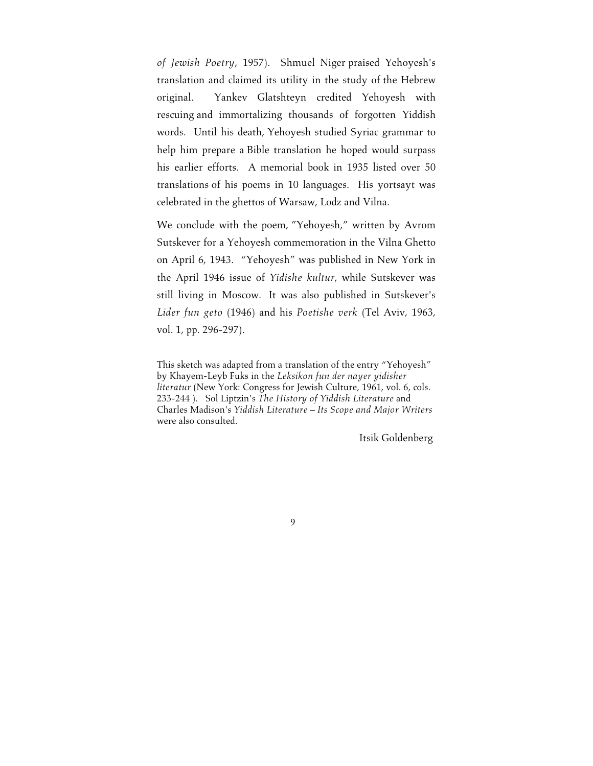*of Jewish Poetry*, 1957). Shmuel Niger praised Yehoyesh's translation and claimed its utility in the study of the Hebrew original. Yankev Glatshteyn credited Yehoyesh with rescuing and immortalizing thousands of forgotten Yiddish words. Until his death, Yehoyesh studied Syriac grammar to help him prepare a Bible translation he hoped would surpass his earlier efforts. A memorial book in 1935 listed over 50 translations of his poems in 10 languages. His yortsayt was celebrated in the ghettos of Warsaw, Lodz and Vilna.

We conclude with the poem, "Yehoyesh," written by Avrom Sutskever for a Yehoyesh commemoration in the Vilna Ghetto on April 6, 1943. "Yehoyesh" was published in New York in the April 1946 issue of *Yidishe kultur*, while Sutskever was still living in Moscow. It was also published in Sutskever's *Lider fun geto* (1946) and his *Poetishe verk* (Tel Aviv, 1963, vol. 1, pp. 296-297).

This sketch was adapted from a translation of the entry "Yehoyesh" by Khayem-Leyb Fuks in the *Leksikon fun der nayer yidisher literatur* (New York: Congress for Jewish Culture, 1961, vol. 6, cols. 233-244 ). Sol Liptzin's *The History of Yiddish Literature* and Charles Madison's *Yiddish Literature – Its Scope and Major Writers* were also consulted.

Itsik Goldenberg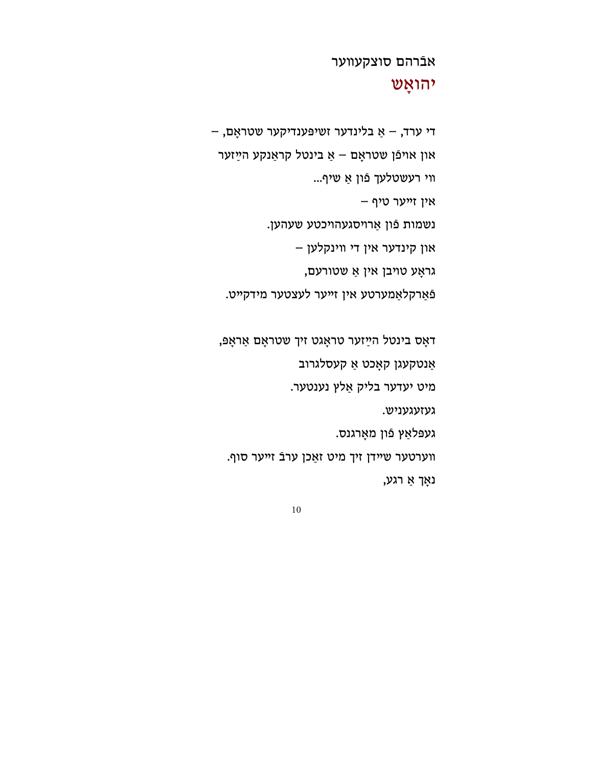נאָך אַ רגע,

װערטער שײדן זיך מיט זאַכן ערבֿ זײער סוף.

געפּלאַץ פֿון מאָרגנס.

געזעגעניש.

מיט יעדער בליק אַלץ נענטער.

אַנטקעגן קאָכט אַ קעסלגרוב

דאָס בינטל הײַ זער טראָגט זיך שטראָם אַראָפּ,

פֿאַרקלאַמערטע אין זײער לעצטער מידקײט.

גראָע טױבן אין אַ שטורעם,

און קינדער אין די װינקלען –

נשמות פֿון אַרױסגעהױכטע שעהען.

אין זײער טיף –

װי רעשטלעך פֿון אַ שיף...

און אױפֿן שטראָם – אַ בינטל קראַנקע הײַ זער

די ערד, – אַ בלינדער זשיפּענדיקער שטראָם, –

## יהואָש

אבֿרהם סוצקעװער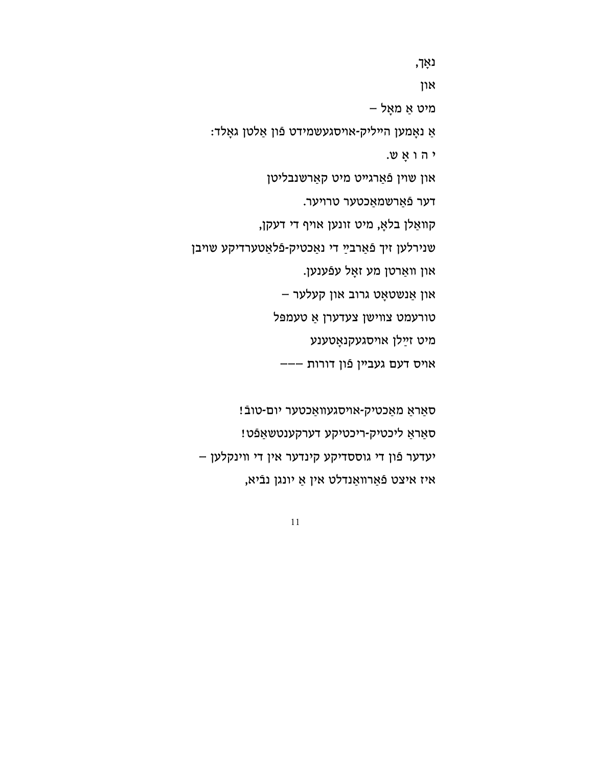סאַראַ מאַכטיק-אױסגעװאַכטער יום-טובֿ! סאַראַ ליכטיק-ריכטיקע דערקענטשאַפֿט! יעדער פֿון די גוססדיקע קינדער אין די װינקלען – איז איצט פֿאַרװאַנדלט אין אַ יונגן נבֿיא,

י ה ו אָ ש. און שױן פֿאַרגײט מיט קאַרשנבליטן דער פֿאַרשמאַכטער טרױער. קװאַלן בלאָ, מיט זונען אױף די דעקן, שנירלען זיך ַ פֿאַרבײ די נאַכטיק-פֿלאַטערדיקע שױבן און װאַרטן מע זאָל עפֿענען. און אַנשטאָט גרוב און קעלער – טורעמט צװישן צעדערן אַ טעמפּל מיט זײַ לן אױסגעקנאָטענע אױס דעם געבײן פֿון דורות –––

אַ נאָמען הײליק-אױסגעשמידט פֿון אַלטן גאָלד:

מיט אַ מאָל –

און

נאָך,